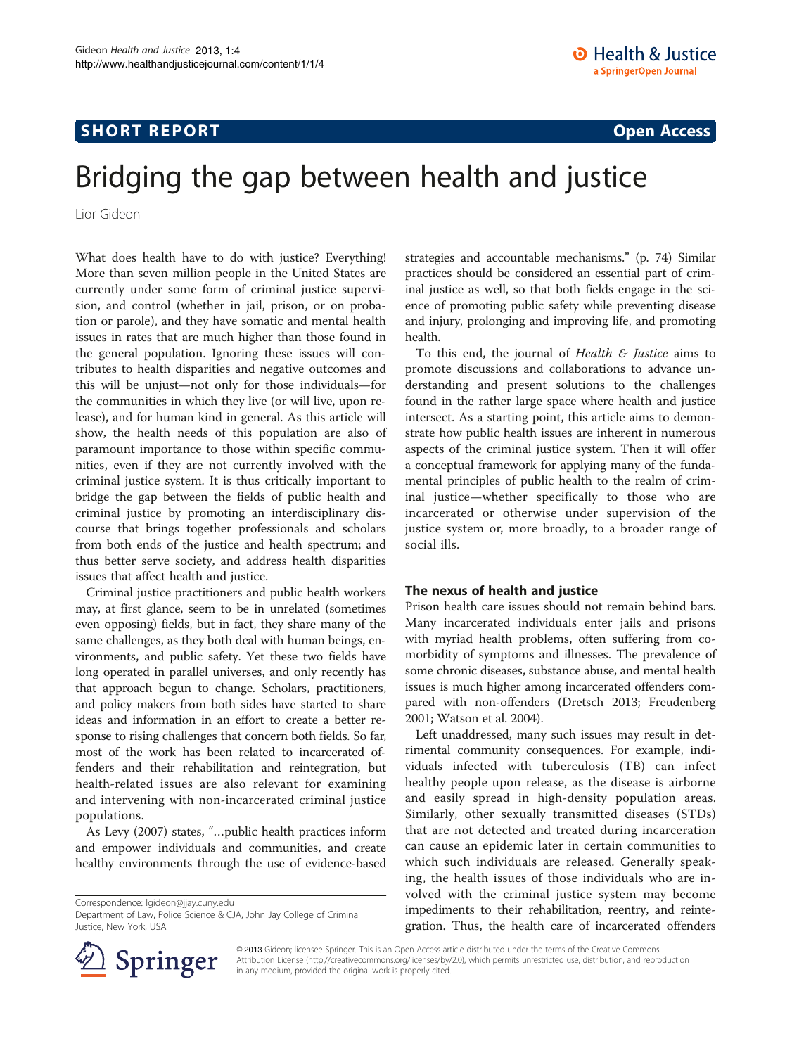# **SHORT REPORT SHORT CONSUMING THE SHORT CONSUMING THE SHORT CONSUMING THE SHORT CONSUMING THE SHORT CONSUMING THE SHORT CONSUMING THE SHORT CONSUMING THE SHORT CONSUMING THE SHORT CONSUMING THE SHORT CONSUMING THE SHORT**

# Bridging the gap between health and justice

Lior Gideon

What does health have to do with justice? Everything! More than seven million people in the United States are currently under some form of criminal justice supervision, and control (whether in jail, prison, or on probation or parole), and they have somatic and mental health issues in rates that are much higher than those found in the general population. Ignoring these issues will contributes to health disparities and negative outcomes and this will be unjust—not only for those individuals—for the communities in which they live (or will live, upon release), and for human kind in general. As this article will show, the health needs of this population are also of paramount importance to those within specific communities, even if they are not currently involved with the criminal justice system. It is thus critically important to bridge the gap between the fields of public health and criminal justice by promoting an interdisciplinary discourse that brings together professionals and scholars from both ends of the justice and health spectrum; and thus better serve society, and address health disparities issues that affect health and justice.

Criminal justice practitioners and public health workers may, at first glance, seem to be in unrelated (sometimes even opposing) fields, but in fact, they share many of the same challenges, as they both deal with human beings, environments, and public safety. Yet these two fields have long operated in parallel universes, and only recently has that approach begun to change. Scholars, practitioners, and policy makers from both sides have started to share ideas and information in an effort to create a better response to rising challenges that concern both fields. So far, most of the work has been related to incarcerated offenders and their rehabilitation and reintegration, but health-related issues are also relevant for examining and intervening with non-incarcerated criminal justice populations.

As Levy ([2007\)](#page-8-0) states, "…public health practices inform and empower individuals and communities, and create healthy environments through the use of evidence-based

Correspondence: [lgideon@jjay.cuny.edu](mailto:lgideon@jjay.cuny.edu)

Department of Law, Police Science & CJA, John Jay College of Criminal Justice, New York, USA



To this end, the journal of Health  $\mathcal E$  Justice aims to promote discussions and collaborations to advance understanding and present solutions to the challenges found in the rather large space where health and justice intersect. As a starting point, this article aims to demonstrate how public health issues are inherent in numerous aspects of the criminal justice system. Then it will offer a conceptual framework for applying many of the fundamental principles of public health to the realm of criminal justice—whether specifically to those who are incarcerated or otherwise under supervision of the justice system or, more broadly, to a broader range of social ills.

#### The nexus of health and justice

Prison health care issues should not remain behind bars. Many incarcerated individuals enter jails and prisons with myriad health problems, often suffering from comorbidity of symptoms and illnesses. The prevalence of some chronic diseases, substance abuse, and mental health issues is much higher among incarcerated offenders compared with non-offenders (Dretsch [2013;](#page-7-0) Freudenberg [2001](#page-8-0); Watson et al. [2004](#page-8-0)).

Left unaddressed, many such issues may result in detrimental community consequences. For example, individuals infected with tuberculosis (TB) can infect healthy people upon release, as the disease is airborne and easily spread in high-density population areas. Similarly, other sexually transmitted diseases (STDs) that are not detected and treated during incarceration can cause an epidemic later in certain communities to which such individuals are released. Generally speaking, the health issues of those individuals who are involved with the criminal justice system may become impediments to their rehabilitation, reentry, and reintegration. Thus, the health care of incarcerated offenders



© 2013 Gideon; licensee Springer. This is an Open Access article distributed under the terms of the Creative Commons Attribution License [\(http://creativecommons.org/licenses/by/2.0\)](http://creativecommons.org/licenses/by/2.0), which permits unrestricted use, distribution, and reproduction in any medium, provided the original work is properly cited.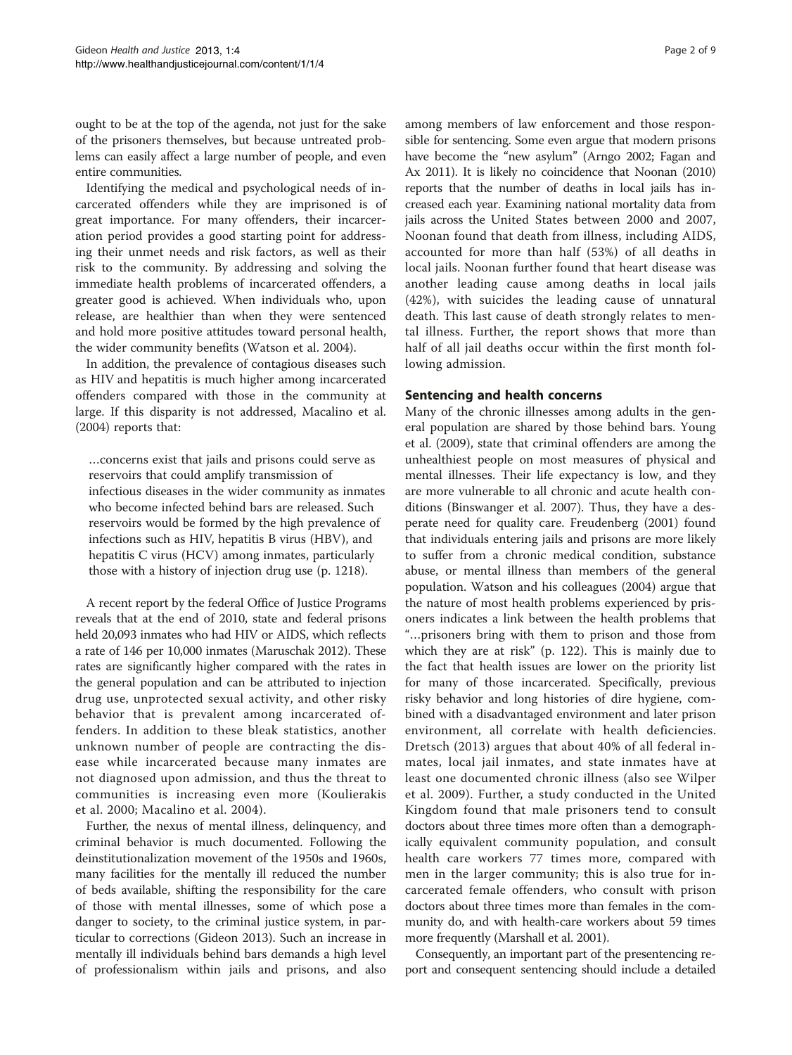ought to be at the top of the agenda, not just for the sake of the prisoners themselves, but because untreated problems can easily affect a large number of people, and even entire communities.

Identifying the medical and psychological needs of incarcerated offenders while they are imprisoned is of great importance. For many offenders, their incarceration period provides a good starting point for addressing their unmet needs and risk factors, as well as their risk to the community. By addressing and solving the immediate health problems of incarcerated offenders, a greater good is achieved. When individuals who, upon release, are healthier than when they were sentenced and hold more positive attitudes toward personal health, the wider community benefits (Watson et al. [2004\)](#page-8-0).

In addition, the prevalence of contagious diseases such as HIV and hepatitis is much higher among incarcerated offenders compared with those in the community at large. If this disparity is not addressed, Macalino et al. ([2004](#page-8-0)) reports that:

…concerns exist that jails and prisons could serve as reservoirs that could amplify transmission of infectious diseases in the wider community as inmates who become infected behind bars are released. Such reservoirs would be formed by the high prevalence of infections such as HIV, hepatitis B virus (HBV), and hepatitis C virus (HCV) among inmates, particularly those with a history of injection drug use (p. 1218).

A recent report by the federal Office of Justice Programs reveals that at the end of 2010, state and federal prisons held 20,093 inmates who had HIV or AIDS, which reflects a rate of 146 per 10,000 inmates (Maruschak [2012\)](#page-8-0). These rates are significantly higher compared with the rates in the general population and can be attributed to injection drug use, unprotected sexual activity, and other risky behavior that is prevalent among incarcerated offenders. In addition to these bleak statistics, another unknown number of people are contracting the disease while incarcerated because many inmates are not diagnosed upon admission, and thus the threat to communities is increasing even more (Koulierakis et al. [2000](#page-8-0); Macalino et al. [2004\)](#page-8-0).

Further, the nexus of mental illness, delinquency, and criminal behavior is much documented. Following the deinstitutionalization movement of the 1950s and 1960s, many facilities for the mentally ill reduced the number of beds available, shifting the responsibility for the care of those with mental illnesses, some of which pose a danger to society, to the criminal justice system, in particular to corrections (Gideon [2013\)](#page-8-0). Such an increase in mentally ill individuals behind bars demands a high level of professionalism within jails and prisons, and also

among members of law enforcement and those responsible for sentencing. Some even argue that modern prisons have become the "new asylum" (Arngo [2002](#page-7-0); Fagan and Ax [2011](#page-7-0)). It is likely no coincidence that Noonan [\(2010](#page-8-0)) reports that the number of deaths in local jails has increased each year. Examining national mortality data from jails across the United States between 2000 and 2007, Noonan found that death from illness, including AIDS, accounted for more than half (53%) of all deaths in local jails. Noonan further found that heart disease was another leading cause among deaths in local jails (42%), with suicides the leading cause of unnatural death. This last cause of death strongly relates to mental illness. Further, the report shows that more than half of all jail deaths occur within the first month following admission.

#### Sentencing and health concerns

Many of the chronic illnesses among adults in the general population are shared by those behind bars. Young et al. [\(2009\)](#page-8-0), state that criminal offenders are among the unhealthiest people on most measures of physical and mental illnesses. Their life expectancy is low, and they are more vulnerable to all chronic and acute health conditions (Binswanger et al. [2007](#page-7-0)). Thus, they have a desperate need for quality care. Freudenberg ([2001](#page-8-0)) found that individuals entering jails and prisons are more likely to suffer from a chronic medical condition, substance abuse, or mental illness than members of the general population. Watson and his colleagues ([2004](#page-8-0)) argue that the nature of most health problems experienced by prisoners indicates a link between the health problems that "…prisoners bring with them to prison and those from which they are at risk" (p. 122). This is mainly due to the fact that health issues are lower on the priority list for many of those incarcerated. Specifically, previous risky behavior and long histories of dire hygiene, combined with a disadvantaged environment and later prison environment, all correlate with health deficiencies. Dretsch ([2013](#page-7-0)) argues that about 40% of all federal inmates, local jail inmates, and state inmates have at least one documented chronic illness (also see Wilper et al. [2009](#page-8-0)). Further, a study conducted in the United Kingdom found that male prisoners tend to consult doctors about three times more often than a demographically equivalent community population, and consult health care workers 77 times more, compared with men in the larger community; this is also true for incarcerated female offenders, who consult with prison doctors about three times more than females in the community do, and with health-care workers about 59 times more frequently (Marshall et al. [2001](#page-8-0)).

Consequently, an important part of the presentencing report and consequent sentencing should include a detailed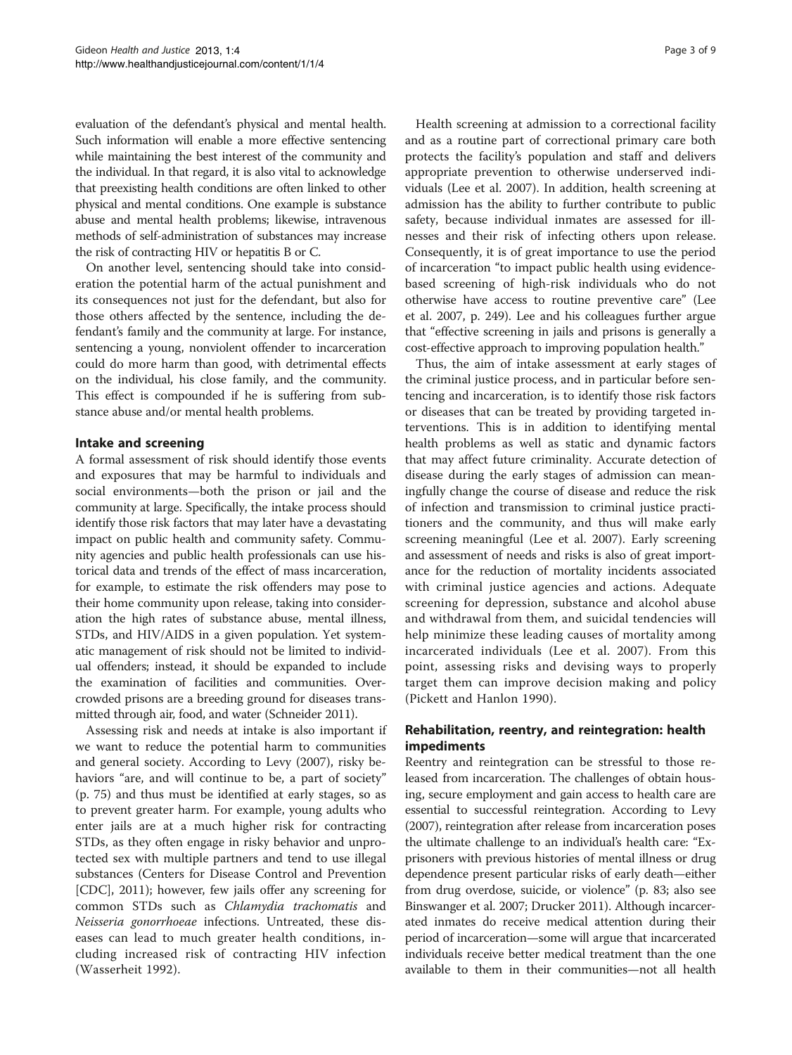evaluation of the defendant's physical and mental health. Such information will enable a more effective sentencing while maintaining the best interest of the community and the individual. In that regard, it is also vital to acknowledge that preexisting health conditions are often linked to other physical and mental conditions. One example is substance abuse and mental health problems; likewise, intravenous methods of self-administration of substances may increase the risk of contracting HIV or hepatitis B or C.

On another level, sentencing should take into consideration the potential harm of the actual punishment and its consequences not just for the defendant, but also for those others affected by the sentence, including the defendant's family and the community at large. For instance, sentencing a young, nonviolent offender to incarceration could do more harm than good, with detrimental effects on the individual, his close family, and the community. This effect is compounded if he is suffering from substance abuse and/or mental health problems.

# Intake and screening

A formal assessment of risk should identify those events and exposures that may be harmful to individuals and social environments—both the prison or jail and the community at large. Specifically, the intake process should identify those risk factors that may later have a devastating impact on public health and community safety. Community agencies and public health professionals can use historical data and trends of the effect of mass incarceration, for example, to estimate the risk offenders may pose to their home community upon release, taking into consideration the high rates of substance abuse, mental illness, STDs, and HIV/AIDS in a given population. Yet systematic management of risk should not be limited to individual offenders; instead, it should be expanded to include the examination of facilities and communities. Overcrowded prisons are a breeding ground for diseases transmitted through air, food, and water (Schneider [2011\)](#page-8-0).

Assessing risk and needs at intake is also important if we want to reduce the potential harm to communities and general society. According to Levy ([2007](#page-8-0)), risky behaviors "are, and will continue to be, a part of society" (p. 75) and thus must be identified at early stages, so as to prevent greater harm. For example, young adults who enter jails are at a much higher risk for contracting STDs, as they often engage in risky behavior and unprotected sex with multiple partners and tend to use illegal substances (Centers for Disease Control and Prevention [CDC], [2011](#page-7-0)); however, few jails offer any screening for common STDs such as Chlamydia trachomatis and Neisseria gonorrhoeae infections. Untreated, these diseases can lead to much greater health conditions, including increased risk of contracting HIV infection (Wasserheit [1992](#page-8-0)).

Health screening at admission to a correctional facility and as a routine part of correctional primary care both protects the facility's population and staff and delivers appropriate prevention to otherwise underserved individuals (Lee et al. [2007](#page-8-0)). In addition, health screening at admission has the ability to further contribute to public safety, because individual inmates are assessed for illnesses and their risk of infecting others upon release. Consequently, it is of great importance to use the period of incarceration "to impact public health using evidencebased screening of high-risk individuals who do not otherwise have access to routine preventive care" (Lee et al. [2007,](#page-8-0) p. 249). Lee and his colleagues further argue that "effective screening in jails and prisons is generally a cost-effective approach to improving population health."

Thus, the aim of intake assessment at early stages of the criminal justice process, and in particular before sentencing and incarceration, is to identify those risk factors or diseases that can be treated by providing targeted interventions. This is in addition to identifying mental health problems as well as static and dynamic factors that may affect future criminality. Accurate detection of disease during the early stages of admission can meaningfully change the course of disease and reduce the risk of infection and transmission to criminal justice practitioners and the community, and thus will make early screening meaningful (Lee et al. [2007](#page-8-0)). Early screening and assessment of needs and risks is also of great importance for the reduction of mortality incidents associated with criminal justice agencies and actions. Adequate screening for depression, substance and alcohol abuse and withdrawal from them, and suicidal tendencies will help minimize these leading causes of mortality among incarcerated individuals (Lee et al. [2007](#page-8-0)). From this point, assessing risks and devising ways to properly target them can improve decision making and policy (Pickett and Hanlon [1990](#page-8-0)).

# Rehabilitation, reentry, and reintegration: health impediments

Reentry and reintegration can be stressful to those released from incarceration. The challenges of obtain housing, secure employment and gain access to health care are essential to successful reintegration. According to Levy ([2007](#page-8-0)), reintegration after release from incarceration poses the ultimate challenge to an individual's health care: "Exprisoners with previous histories of mental illness or drug dependence present particular risks of early death—either from drug overdose, suicide, or violence" (p. 83; also see Binswanger et al. [2007;](#page-7-0) Drucker [2011\)](#page-7-0). Although incarcerated inmates do receive medical attention during their period of incarceration—some will argue that incarcerated individuals receive better medical treatment than the one available to them in their communities—not all health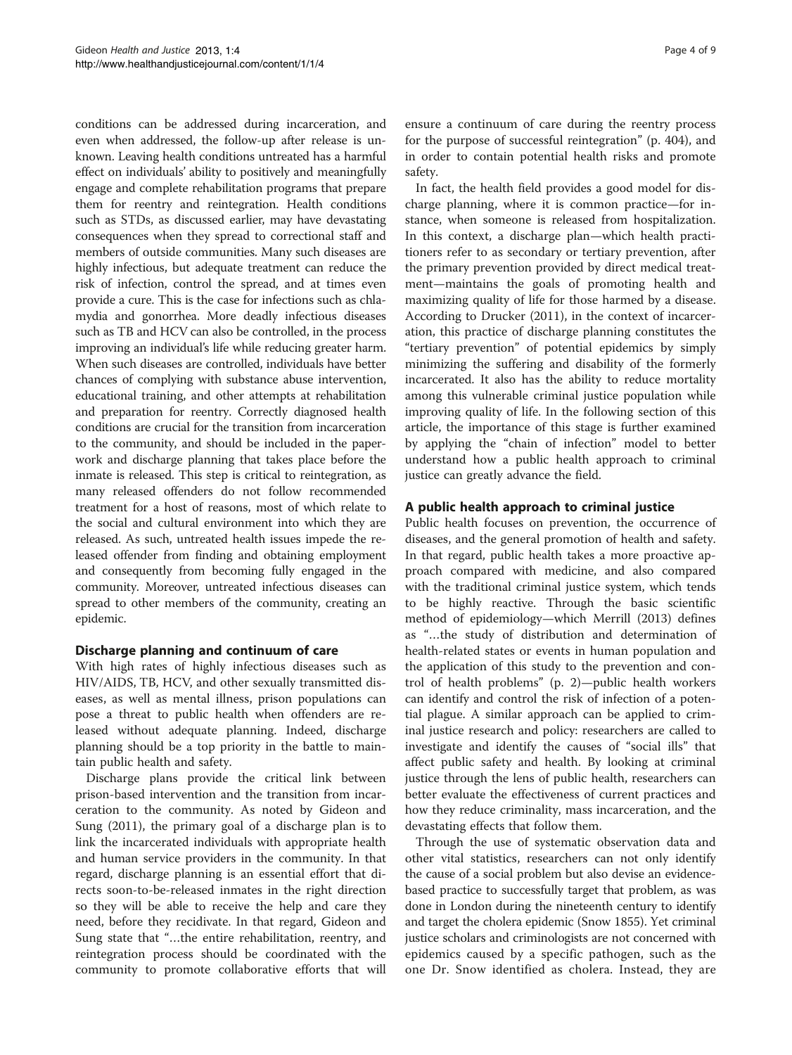conditions can be addressed during incarceration, and even when addressed, the follow-up after release is unknown. Leaving health conditions untreated has a harmful effect on individuals' ability to positively and meaningfully engage and complete rehabilitation programs that prepare them for reentry and reintegration. Health conditions such as STDs, as discussed earlier, may have devastating consequences when they spread to correctional staff and members of outside communities. Many such diseases are highly infectious, but adequate treatment can reduce the risk of infection, control the spread, and at times even provide a cure. This is the case for infections such as chlamydia and gonorrhea. More deadly infectious diseases such as TB and HCV can also be controlled, in the process improving an individual's life while reducing greater harm. When such diseases are controlled, individuals have better chances of complying with substance abuse intervention, educational training, and other attempts at rehabilitation and preparation for reentry. Correctly diagnosed health conditions are crucial for the transition from incarceration to the community, and should be included in the paperwork and discharge planning that takes place before the inmate is released. This step is critical to reintegration, as many released offenders do not follow recommended treatment for a host of reasons, most of which relate to the social and cultural environment into which they are released. As such, untreated health issues impede the released offender from finding and obtaining employment and consequently from becoming fully engaged in the community. Moreover, untreated infectious diseases can spread to other members of the community, creating an epidemic.

## Discharge planning and continuum of care

With high rates of highly infectious diseases such as HIV/AIDS, TB, HCV, and other sexually transmitted diseases, as well as mental illness, prison populations can pose a threat to public health when offenders are released without adequate planning. Indeed, discharge planning should be a top priority in the battle to maintain public health and safety.

Discharge plans provide the critical link between prison-based intervention and the transition from incarceration to the community. As noted by Gideon and Sung [\(2011\)](#page-8-0), the primary goal of a discharge plan is to link the incarcerated individuals with appropriate health and human service providers in the community. In that regard, discharge planning is an essential effort that directs soon-to-be-released inmates in the right direction so they will be able to receive the help and care they need, before they recidivate. In that regard, Gideon and Sung state that "…the entire rehabilitation, reentry, and reintegration process should be coordinated with the community to promote collaborative efforts that will

ensure a continuum of care during the reentry process for the purpose of successful reintegration" (p. 404), and in order to contain potential health risks and promote safety.

In fact, the health field provides a good model for discharge planning, where it is common practice—for instance, when someone is released from hospitalization. In this context, a discharge plan—which health practitioners refer to as secondary or tertiary prevention, after the primary prevention provided by direct medical treatment—maintains the goals of promoting health and maximizing quality of life for those harmed by a disease. According to Drucker ([2011](#page-7-0)), in the context of incarceration, this practice of discharge planning constitutes the "tertiary prevention" of potential epidemics by simply minimizing the suffering and disability of the formerly incarcerated. It also has the ability to reduce mortality among this vulnerable criminal justice population while improving quality of life. In the following section of this article, the importance of this stage is further examined by applying the "chain of infection" model to better understand how a public health approach to criminal justice can greatly advance the field.

# A public health approach to criminal justice

Public health focuses on prevention, the occurrence of diseases, and the general promotion of health and safety. In that regard, public health takes a more proactive approach compared with medicine, and also compared with the traditional criminal justice system, which tends to be highly reactive. Through the basic scientific method of epidemiology—which Merrill [\(2013](#page-8-0)) defines as "…the study of distribution and determination of health-related states or events in human population and the application of this study to the prevention and control of health problems" (p. 2)—public health workers can identify and control the risk of infection of a potential plague. A similar approach can be applied to criminal justice research and policy: researchers are called to investigate and identify the causes of "social ills" that affect public safety and health. By looking at criminal justice through the lens of public health, researchers can better evaluate the effectiveness of current practices and how they reduce criminality, mass incarceration, and the devastating effects that follow them.

Through the use of systematic observation data and other vital statistics, researchers can not only identify the cause of a social problem but also devise an evidencebased practice to successfully target that problem, as was done in London during the nineteenth century to identify and target the cholera epidemic (Snow [1855](#page-8-0)). Yet criminal justice scholars and criminologists are not concerned with epidemics caused by a specific pathogen, such as the one Dr. Snow identified as cholera. Instead, they are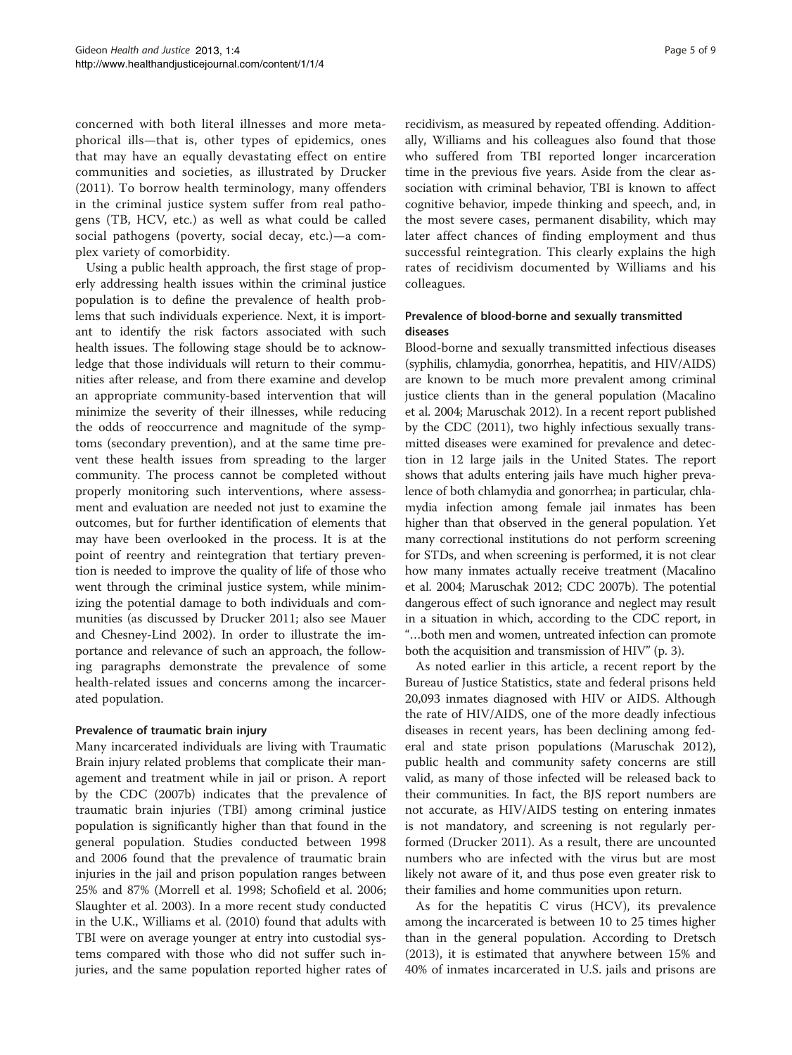concerned with both literal illnesses and more metaphorical ills—that is, other types of epidemics, ones that may have an equally devastating effect on entire communities and societies, as illustrated by Drucker ([2011](#page-7-0)). To borrow health terminology, many offenders in the criminal justice system suffer from real pathogens (TB, HCV, etc.) as well as what could be called social pathogens (poverty, social decay, etc.)—a complex variety of comorbidity.

Using a public health approach, the first stage of properly addressing health issues within the criminal justice population is to define the prevalence of health problems that such individuals experience. Next, it is important to identify the risk factors associated with such health issues. The following stage should be to acknowledge that those individuals will return to their communities after release, and from there examine and develop an appropriate community-based intervention that will minimize the severity of their illnesses, while reducing the odds of reoccurrence and magnitude of the symptoms (secondary prevention), and at the same time prevent these health issues from spreading to the larger community. The process cannot be completed without properly monitoring such interventions, where assessment and evaluation are needed not just to examine the outcomes, but for further identification of elements that may have been overlooked in the process. It is at the point of reentry and reintegration that tertiary prevention is needed to improve the quality of life of those who went through the criminal justice system, while minimizing the potential damage to both individuals and communities (as discussed by Drucker [2011](#page-7-0); also see Mauer and Chesney-Lind [2002\)](#page-8-0). In order to illustrate the importance and relevance of such an approach, the following paragraphs demonstrate the prevalence of some health-related issues and concerns among the incarcerated population.

## Prevalence of traumatic brain injury

Many incarcerated individuals are living with Traumatic Brain injury related problems that complicate their management and treatment while in jail or prison. A report by the CDC [\(2007b\)](#page-7-0) indicates that the prevalence of traumatic brain injuries (TBI) among criminal justice population is significantly higher than that found in the general population. Studies conducted between 1998 and 2006 found that the prevalence of traumatic brain injuries in the jail and prison population ranges between 25% and 87% (Morrell et al. [1998;](#page-8-0) Schofield et al. [2006](#page-8-0); Slaughter et al. [2003](#page-8-0)). In a more recent study conducted in the U.K., Williams et al. ([2010](#page-8-0)) found that adults with TBI were on average younger at entry into custodial systems compared with those who did not suffer such injuries, and the same population reported higher rates of

recidivism, as measured by repeated offending. Additionally, Williams and his colleagues also found that those who suffered from TBI reported longer incarceration time in the previous five years. Aside from the clear association with criminal behavior, TBI is known to affect cognitive behavior, impede thinking and speech, and, in the most severe cases, permanent disability, which may later affect chances of finding employment and thus successful reintegration. This clearly explains the high rates of recidivism documented by Williams and his colleagues.

# Prevalence of blood-borne and sexually transmitted diseases

Blood-borne and sexually transmitted infectious diseases (syphilis, chlamydia, gonorrhea, hepatitis, and HIV/AIDS) are known to be much more prevalent among criminal justice clients than in the general population (Macalino et al. [2004;](#page-8-0) Maruschak [2012\)](#page-8-0). In a recent report published by the CDC ([2011\)](#page-7-0), two highly infectious sexually transmitted diseases were examined for prevalence and detection in 12 large jails in the United States. The report shows that adults entering jails have much higher prevalence of both chlamydia and gonorrhea; in particular, chlamydia infection among female jail inmates has been higher than that observed in the general population. Yet many correctional institutions do not perform screening for STDs, and when screening is performed, it is not clear how many inmates actually receive treatment (Macalino et al. [2004;](#page-8-0) Maruschak [2012;](#page-8-0) CDC [2007b\)](#page-7-0). The potential dangerous effect of such ignorance and neglect may result in a situation in which, according to the CDC report, in "…both men and women, untreated infection can promote both the acquisition and transmission of HIV" (p. 3).

As noted earlier in this article, a recent report by the Bureau of Justice Statistics, state and federal prisons held 20,093 inmates diagnosed with HIV or AIDS. Although the rate of HIV/AIDS, one of the more deadly infectious diseases in recent years, has been declining among federal and state prison populations (Maruschak [2012](#page-8-0)), public health and community safety concerns are still valid, as many of those infected will be released back to their communities. In fact, the BJS report numbers are not accurate, as HIV/AIDS testing on entering inmates is not mandatory, and screening is not regularly performed (Drucker [2011\)](#page-7-0). As a result, there are uncounted numbers who are infected with the virus but are most likely not aware of it, and thus pose even greater risk to their families and home communities upon return.

As for the hepatitis C virus (HCV), its prevalence among the incarcerated is between 10 to 25 times higher than in the general population. According to Dretsch ([2013\)](#page-7-0), it is estimated that anywhere between 15% and 40% of inmates incarcerated in U.S. jails and prisons are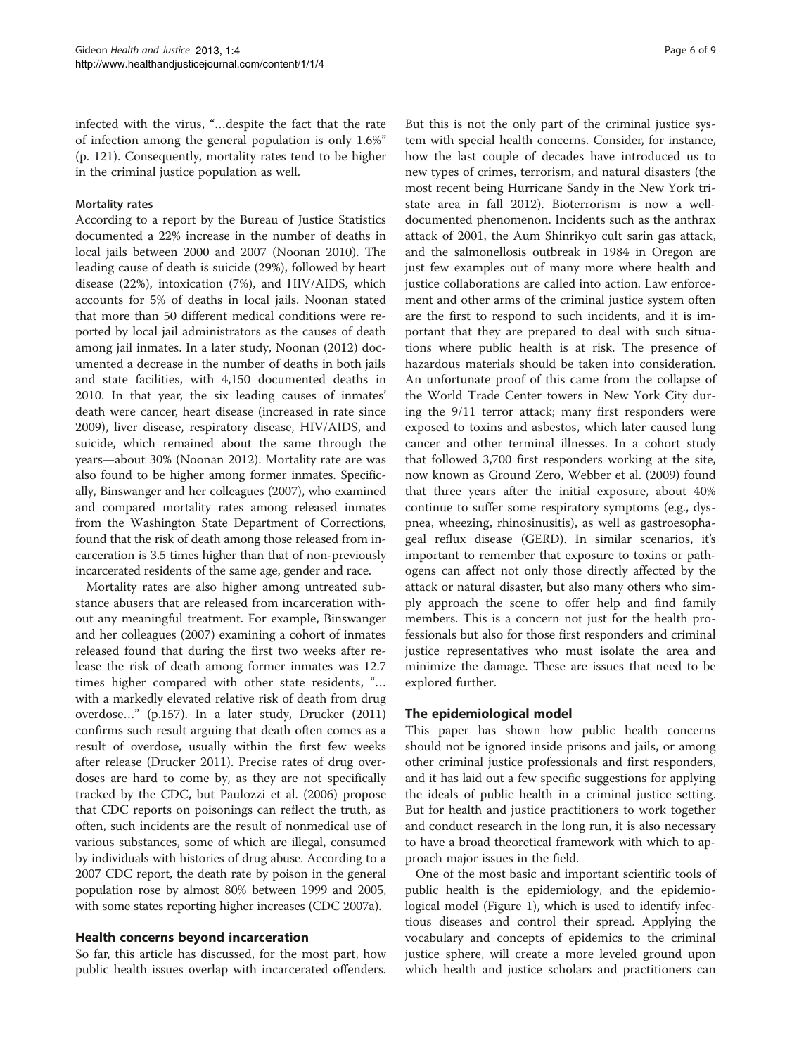infected with the virus, "…despite the fact that the rate of infection among the general population is only 1.6%" (p. 121). Consequently, mortality rates tend to be higher in the criminal justice population as well.

#### Mortality rates

According to a report by the Bureau of Justice Statistics documented a 22% increase in the number of deaths in local jails between 2000 and 2007 (Noonan [2010\)](#page-8-0). The leading cause of death is suicide (29%), followed by heart disease (22%), intoxication (7%), and HIV/AIDS, which accounts for 5% of deaths in local jails. Noonan stated that more than 50 different medical conditions were reported by local jail administrators as the causes of death among jail inmates. In a later study, Noonan ([2012](#page-8-0)) documented a decrease in the number of deaths in both jails and state facilities, with 4,150 documented deaths in 2010. In that year, the six leading causes of inmates' death were cancer, heart disease (increased in rate since 2009), liver disease, respiratory disease, HIV/AIDS, and suicide, which remained about the same through the years—about 30% (Noonan [2012](#page-8-0)). Mortality rate are was also found to be higher among former inmates. Specifically, Binswanger and her colleagues ([2007\)](#page-7-0), who examined and compared mortality rates among released inmates from the Washington State Department of Corrections, found that the risk of death among those released from incarceration is 3.5 times higher than that of non-previously incarcerated residents of the same age, gender and race.

Mortality rates are also higher among untreated substance abusers that are released from incarceration without any meaningful treatment. For example, Binswanger and her colleagues ([2007\)](#page-7-0) examining a cohort of inmates released found that during the first two weeks after release the risk of death among former inmates was 12.7 times higher compared with other state residents, "… with a markedly elevated relative risk of death from drug overdose…" (p.157). In a later study, Drucker ([2011](#page-7-0)) confirms such result arguing that death often comes as a result of overdose, usually within the first few weeks after release (Drucker [2011](#page-7-0)). Precise rates of drug overdoses are hard to come by, as they are not specifically tracked by the CDC, but Paulozzi et al. [\(2006\)](#page-8-0) propose that CDC reports on poisonings can reflect the truth, as often, such incidents are the result of nonmedical use of various substances, some of which are illegal, consumed by individuals with histories of drug abuse. According to a 2007 CDC report, the death rate by poison in the general population rose by almost 80% between 1999 and 2005, with some states reporting higher increases (CDC [2007a\)](#page-7-0).

#### Health concerns beyond incarceration

So far, this article has discussed, for the most part, how public health issues overlap with incarcerated offenders.

But this is not the only part of the criminal justice system with special health concerns. Consider, for instance, how the last couple of decades have introduced us to new types of crimes, terrorism, and natural disasters (the most recent being Hurricane Sandy in the New York tristate area in fall 2012). Bioterrorism is now a welldocumented phenomenon. Incidents such as the anthrax attack of 2001, the Aum Shinrikyo cult sarin gas attack, and the salmonellosis outbreak in 1984 in Oregon are just few examples out of many more where health and justice collaborations are called into action. Law enforcement and other arms of the criminal justice system often are the first to respond to such incidents, and it is important that they are prepared to deal with such situations where public health is at risk. The presence of hazardous materials should be taken into consideration. An unfortunate proof of this came from the collapse of the World Trade Center towers in New York City during the 9/11 terror attack; many first responders were exposed to toxins and asbestos, which later caused lung cancer and other terminal illnesses. In a cohort study that followed 3,700 first responders working at the site, now known as Ground Zero, Webber et al. ([2009](#page-8-0)) found that three years after the initial exposure, about 40% continue to suffer some respiratory symptoms (e.g., dyspnea, wheezing, rhinosinusitis), as well as gastroesophageal reflux disease (GERD). In similar scenarios, it's important to remember that exposure to toxins or pathogens can affect not only those directly affected by the attack or natural disaster, but also many others who simply approach the scene to offer help and find family members. This is a concern not just for the health professionals but also for those first responders and criminal justice representatives who must isolate the area and minimize the damage. These are issues that need to be explored further.

## The epidemiological model

This paper has shown how public health concerns should not be ignored inside prisons and jails, or among other criminal justice professionals and first responders, and it has laid out a few specific suggestions for applying the ideals of public health in a criminal justice setting. But for health and justice practitioners to work together and conduct research in the long run, it is also necessary to have a broad theoretical framework with which to approach major issues in the field.

One of the most basic and important scientific tools of public health is the epidemiology, and the epidemiological model (Figure [1\)](#page-6-0), which is used to identify infectious diseases and control their spread. Applying the vocabulary and concepts of epidemics to the criminal justice sphere, will create a more leveled ground upon which health and justice scholars and practitioners can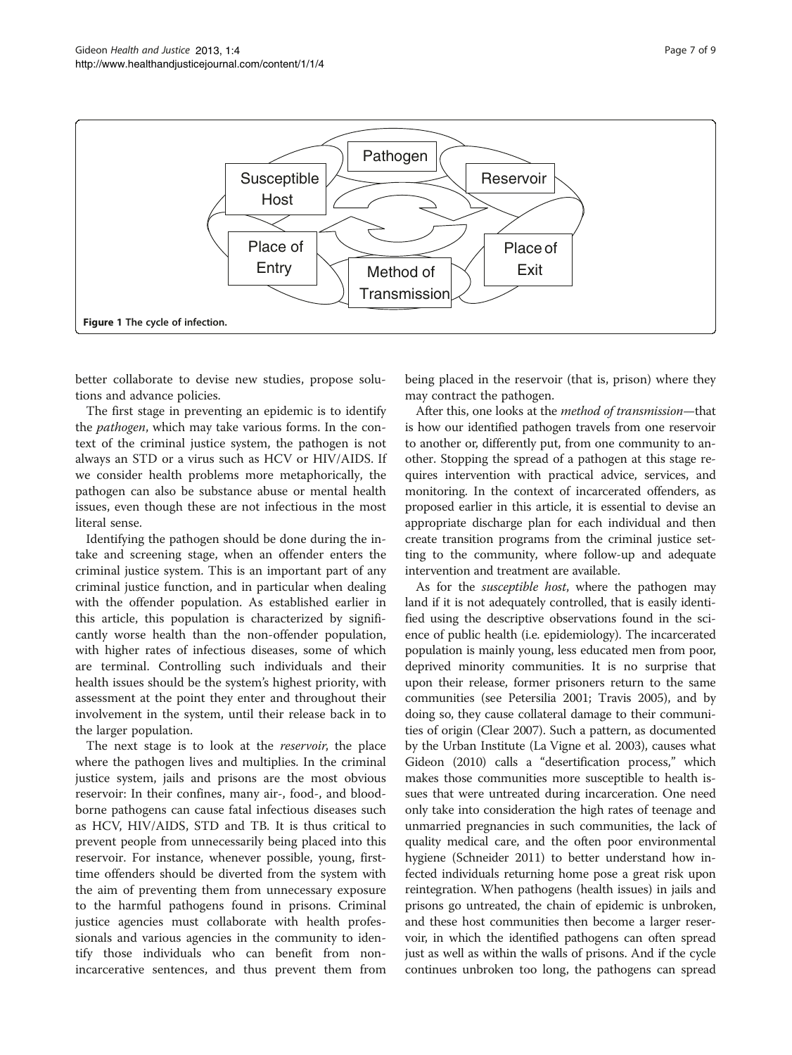<span id="page-6-0"></span>

better collaborate to devise new studies, propose solutions and advance policies.

The first stage in preventing an epidemic is to identify the pathogen, which may take various forms. In the context of the criminal justice system, the pathogen is not always an STD or a virus such as HCV or HIV/AIDS. If we consider health problems more metaphorically, the pathogen can also be substance abuse or mental health issues, even though these are not infectious in the most literal sense.

Identifying the pathogen should be done during the intake and screening stage, when an offender enters the criminal justice system. This is an important part of any criminal justice function, and in particular when dealing with the offender population. As established earlier in this article, this population is characterized by significantly worse health than the non-offender population, with higher rates of infectious diseases, some of which are terminal. Controlling such individuals and their health issues should be the system's highest priority, with assessment at the point they enter and throughout their involvement in the system, until their release back in to the larger population.

The next stage is to look at the reservoir, the place where the pathogen lives and multiplies. In the criminal justice system, jails and prisons are the most obvious reservoir: In their confines, many air-, food-, and bloodborne pathogens can cause fatal infectious diseases such as HCV, HIV/AIDS, STD and TB. It is thus critical to prevent people from unnecessarily being placed into this reservoir. For instance, whenever possible, young, firsttime offenders should be diverted from the system with the aim of preventing them from unnecessary exposure to the harmful pathogens found in prisons. Criminal justice agencies must collaborate with health professionals and various agencies in the community to identify those individuals who can benefit from nonincarcerative sentences, and thus prevent them from

being placed in the reservoir (that is, prison) where they may contract the pathogen.

After this, one looks at the method of transmission—that is how our identified pathogen travels from one reservoir to another or, differently put, from one community to another. Stopping the spread of a pathogen at this stage requires intervention with practical advice, services, and monitoring. In the context of incarcerated offenders, as proposed earlier in this article, it is essential to devise an appropriate discharge plan for each individual and then create transition programs from the criminal justice setting to the community, where follow-up and adequate intervention and treatment are available.

As for the *susceptible host*, where the pathogen may land if it is not adequately controlled, that is easily identified using the descriptive observations found in the science of public health (i.e. epidemiology). The incarcerated population is mainly young, less educated men from poor, deprived minority communities. It is no surprise that upon their release, former prisoners return to the same communities (see Petersilia [2001;](#page-8-0) Travis [2005](#page-8-0)), and by doing so, they cause collateral damage to their communities of origin (Clear [2007](#page-7-0)). Such a pattern, as documented by the Urban Institute (La Vigne et al. [2003](#page-8-0)), causes what Gideon ([2010\)](#page-8-0) calls a "desertification process," which makes those communities more susceptible to health issues that were untreated during incarceration. One need only take into consideration the high rates of teenage and unmarried pregnancies in such communities, the lack of quality medical care, and the often poor environmental hygiene (Schneider [2011\)](#page-8-0) to better understand how infected individuals returning home pose a great risk upon reintegration. When pathogens (health issues) in jails and prisons go untreated, the chain of epidemic is unbroken, and these host communities then become a larger reservoir, in which the identified pathogens can often spread just as well as within the walls of prisons. And if the cycle continues unbroken too long, the pathogens can spread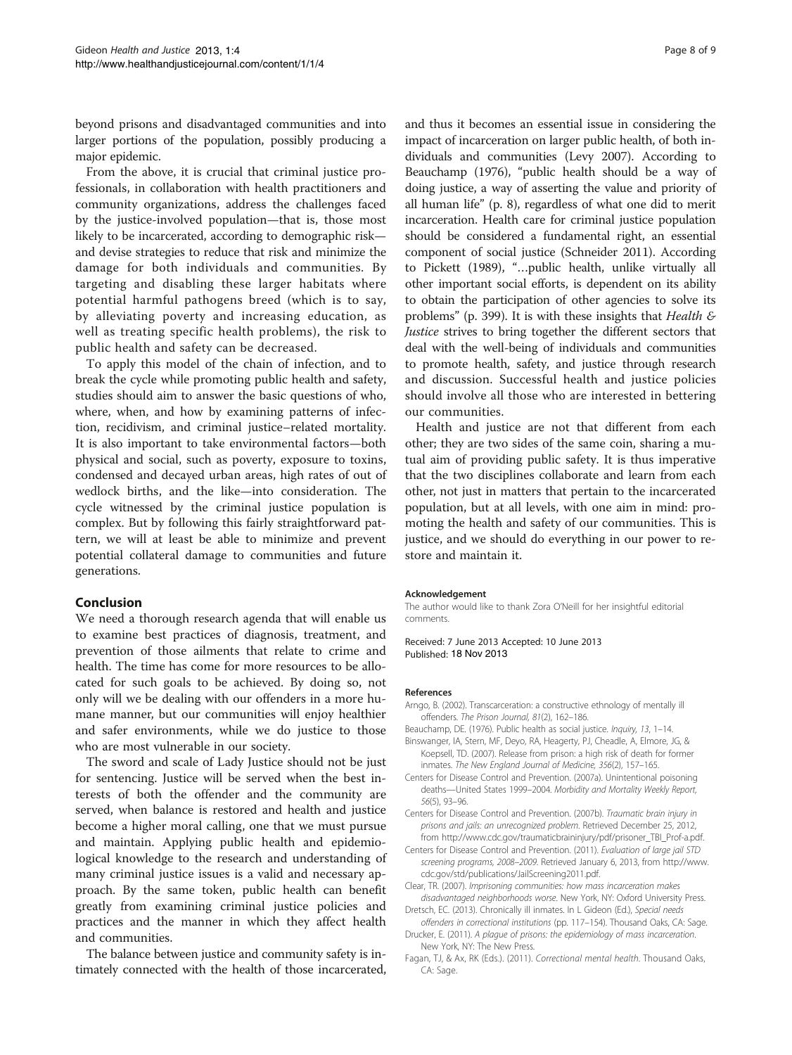<span id="page-7-0"></span>beyond prisons and disadvantaged communities and into larger portions of the population, possibly producing a major epidemic.

From the above, it is crucial that criminal justice professionals, in collaboration with health practitioners and community organizations, address the challenges faced by the justice-involved population—that is, those most likely to be incarcerated, according to demographic risk and devise strategies to reduce that risk and minimize the damage for both individuals and communities. By targeting and disabling these larger habitats where potential harmful pathogens breed (which is to say, by alleviating poverty and increasing education, as well as treating specific health problems), the risk to public health and safety can be decreased.

To apply this model of the chain of infection, and to break the cycle while promoting public health and safety, studies should aim to answer the basic questions of who, where, when, and how by examining patterns of infection, recidivism, and criminal justice–related mortality. It is also important to take environmental factors—both physical and social, such as poverty, exposure to toxins, condensed and decayed urban areas, high rates of out of wedlock births, and the like—into consideration. The cycle witnessed by the criminal justice population is complex. But by following this fairly straightforward pattern, we will at least be able to minimize and prevent potential collateral damage to communities and future generations.

## Conclusion

We need a thorough research agenda that will enable us to examine best practices of diagnosis, treatment, and prevention of those ailments that relate to crime and health. The time has come for more resources to be allocated for such goals to be achieved. By doing so, not only will we be dealing with our offenders in a more humane manner, but our communities will enjoy healthier and safer environments, while we do justice to those who are most vulnerable in our society.

The sword and scale of Lady Justice should not be just for sentencing. Justice will be served when the best interests of both the offender and the community are served, when balance is restored and health and justice become a higher moral calling, one that we must pursue and maintain. Applying public health and epidemiological knowledge to the research and understanding of many criminal justice issues is a valid and necessary approach. By the same token, public health can benefit greatly from examining criminal justice policies and practices and the manner in which they affect health and communities.

The balance between justice and community safety is intimately connected with the health of those incarcerated,

and thus it becomes an essential issue in considering the impact of incarceration on larger public health, of both individuals and communities (Levy [2007\)](#page-8-0). According to Beauchamp (1976), "public health should be a way of doing justice, a way of asserting the value and priority of all human life" (p. 8), regardless of what one did to merit incarceration. Health care for criminal justice population should be considered a fundamental right, an essential component of social justice (Schneider [2011\)](#page-8-0). According to Pickett [\(1989](#page-8-0)), "…public health, unlike virtually all other important social efforts, is dependent on its ability to obtain the participation of other agencies to solve its problems" (p. 399). It is with these insights that Health  $\mathcal E$ Justice strives to bring together the different sectors that deal with the well-being of individuals and communities to promote health, safety, and justice through research and discussion. Successful health and justice policies should involve all those who are interested in bettering our communities.

Health and justice are not that different from each other; they are two sides of the same coin, sharing a mutual aim of providing public safety. It is thus imperative that the two disciplines collaborate and learn from each other, not just in matters that pertain to the incarcerated population, but at all levels, with one aim in mind: promoting the health and safety of our communities. This is justice, and we should do everything in our power to restore and maintain it.

#### Acknowledgement

The author would like to thank Zora O'Neill for her insightful editorial comments.

Received: 7 June 2013 Accepted: 10 June 2013 Published: 18 Nov 2013

#### References

- Arngo, B. (2002). Transcarceration: a constructive ethnology of mentally ill offenders. The Prison Journal, 81(2), 162–186.
- Beauchamp, DE. (1976). Public health as social justice. Inquiry, 13, 1–14.
- Binswanger, IA, Stern, MF, Deyo, RA, Heagerty, PJ, Cheadle, A, Elmore, JG, & Koepsell, TD. (2007). Release from prison: a high risk of death for former inmates. The New England Journal of Medicine, 356(2), 157–165.
- Centers for Disease Control and Prevention. (2007a). Unintentional poisoning deaths—United States 1999–2004. Morbidity and Mortality Weekly Report, 56(5), 93–96.
- Centers for Disease Control and Prevention. (2007b). Traumatic brain injury in prisons and jails: an unrecognized problem. Retrieved December 25, 2012, from [http://www.cdc.gov/traumaticbraininjury/pdf/prisoner\\_TBI\\_Prof-a.pdf.](http://www.cdc.gov/traumaticbraininjury/pdf/prisoner_TBI_Prof-a.pdf)
- Centers for Disease Control and Prevention. (2011). Evaluation of large jail STD screening programs, 2008–2009. Retrieved January 6, 2013, from [http://www.](http://www.cdc.gov/std/publications/JailScreening2011.pdf) [cdc.gov/std/publications/JailScreening2011.pdf](http://www.cdc.gov/std/publications/JailScreening2011.pdf).
- Clear, TR. (2007). Imprisoning communities: how mass incarceration makes disadvantaged neighborhoods worse. New York, NY: Oxford University Press.
- Dretsch, EC. (2013). Chronically ill inmates. In L Gideon (Ed.), Special needs offenders in correctional institutions (pp. 117–154). Thousand Oaks, CA: Sage.
- Drucker, E. (2011). A plague of prisons: the epidemiology of mass incarceration. New York, NY: The New Press.
- Fagan, TJ, & Ax, RK (Eds.). (2011). Correctional mental health. Thousand Oaks, CA: Sage.